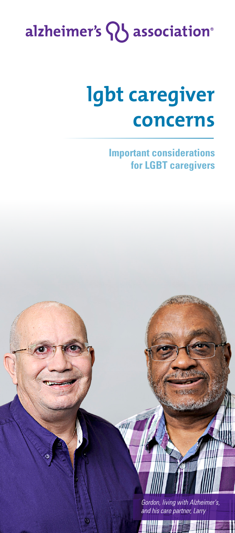# alzheimer's Q association<sup>®</sup>

# lgbt caregiver concerns

**Important considerations for LGBT caregivers**

> Gordon, living with Alzheimer's, and his care partner, Larry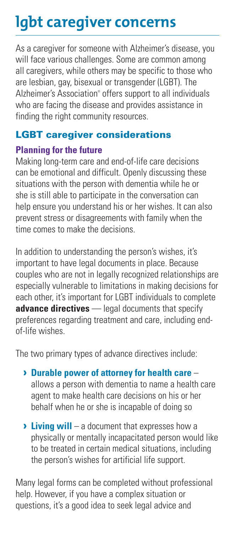## lgbt caregiver concerns

As a caregiver for someone with Alzheimer's disease, you will face various challenges. Some are common among all caregivers, while others may be specific to those who are lesbian, gay, bisexual or transgender (LGBT). The Alzheimer's Association® offers support to all individuals who are facing the disease and provides assistance in finding the right community resources.

#### LGBT caregiver considerations

#### **Planning for the future**

Making long-term care and end-of-life care decisions can be emotional and difficult. Openly discussing these situations with the person with dementia while he or she is still able to participate in the conversation can help ensure you understand his or her wishes. It can also prevent stress or disagreements with family when the time comes to make the decisions.

In addition to understanding the person's wishes, it's important to have legal documents in place. Because couples who are not in legally recognized relationships are especially vulnerable to limitations in making decisions for each other, it's important for LGBT individuals to complete **advance directives** — legal documents that specify preferences regarding treatment and care, including endof-life wishes.

The two primary types of advance directives include:

- **› Durable power of attorney for health care** allows a person with dementia to name a health care agent to make health care decisions on his or her behalf when he or she is incapable of doing so
- **› Living will**  a document that expresses how a physically or mentally incapacitated person would like to be treated in certain medical situations, including the person's wishes for artificial life support.

Many legal forms can be completed without professional help. However, if you have a complex situation or questions, it's a good idea to seek legal advice and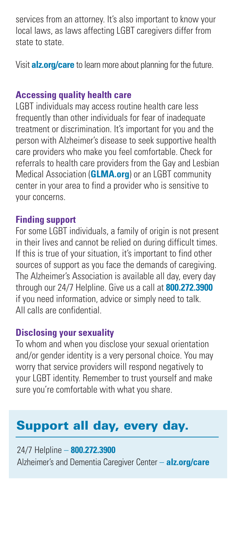services from an attorney. It's also important to know your local laws, as laws affecting LGBT caregivers differ from state to state.

Visit **alz.org/care** to learn more about planning for the future.

#### **Accessing quality health care**

LGBT individuals may access routine health care less frequently than other individuals for fear of inadequate treatment or discrimination. It's important for you and the person with Alzheimer's disease to seek supportive health care providers who make you feel comfortable. Check for referrals to health care providers from the Gay and Lesbian Medical Association (**GLMA.org**) or an LGBT community center in your area to find a provider who is sensitive to your concerns.

#### **Finding support**

For some LGBT individuals, a family of origin is not present in their lives and cannot be relied on during difficult times. If this is true of your situation, it's important to find other sources of support as you face the demands of caregiving. The Alzheimer's Association is available all day, every day through our 24/7 Helpline. Give us a call at **800.272.3900**  if you need information, advice or simply need to talk. All calls are confidential.

#### **Disclosing your sexuality**

To whom and when you disclose your sexual orientation and/or gender identity is a very personal choice. You may worry that service providers will respond negatively to your LGBT identity. Remember to trust yourself and make sure you're comfortable with what you share.

### Support all day, every day.

24/7 Helpline – **800.272.3900** Alzheimer's and Dementia Caregiver Center – **alz.org/care**